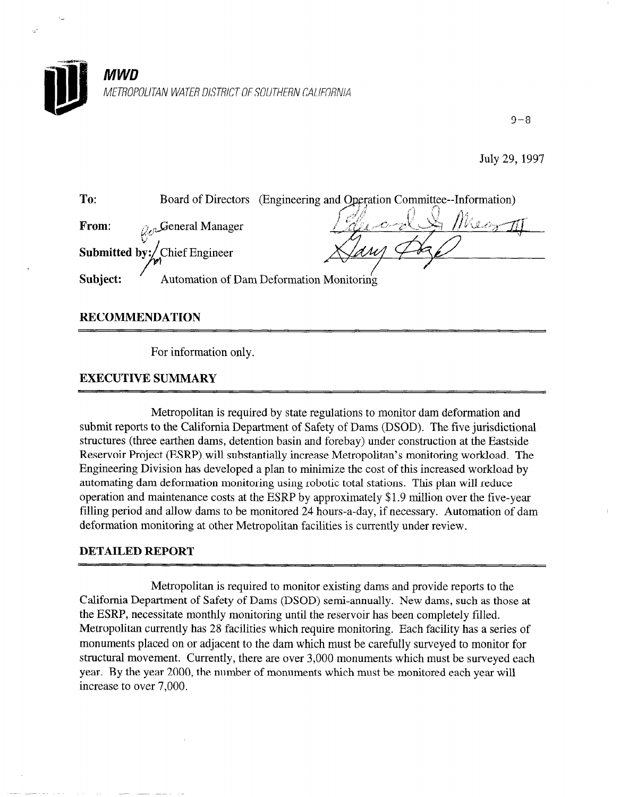

9-8

July 29, 1997



## RECOMMENDATION

For information only.

## EXECUTIVE SUMMARY

Metropolitan is required by state regulations to monitor dam deformation and submit reports to the California Department of Safety of Dams (DSOD). The five jurisdictional structures (three earthen dams, detention basin and forebay) under construction at the Eastside Reservoir Project (ESRP) will substantially increase Metropolitan's monitoring workload. The Engineering Division has developed a plan to minimize the cost of this increased workload by automating dam deformation monitoring using robotic total stations. This plan will reduce operation and maintenance costs at the ESRP by approximately \$1.9 million over the five-year filling period and allow dams to be monitored 24 hours-a-day, if necessary. Automation of dam deformation monitoring at other Metropolitan facilities is currently under review.

## DETAILED REPORT

Metropolitan is required to monitor existing dams and provide reports to the California Department of Safety of Dams (DSOD) semi-annually. New dams, such as those at the ESRP, necessitate monthly monitoring until the reservoir has been completely filled. Metropolitan currently has 28 facilities which require monitoring. Each facility has a series of monuments placed on or adjacent to the dam which must be carefully surveyed to monitor for structural movement. Currently, there are over 3,000 monuments which must be surveyed each year. By the year 2000, the number of monuments which must be monitored each year will increase to over 7,000.